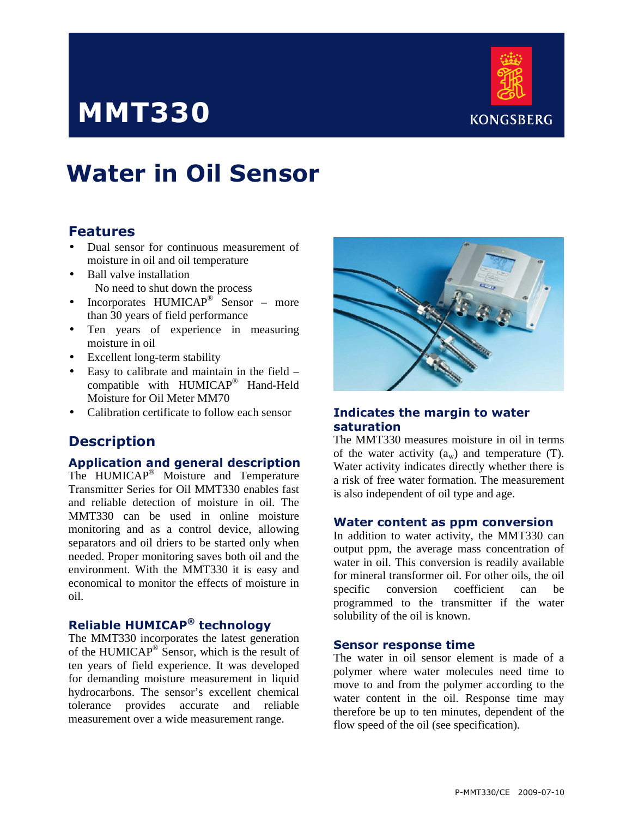# MMT330



# Water in Oil Sensor

## Features

- Dual sensor for continuous measurement of moisture in oil and oil temperature
- Ball valve installation No need to shut down the process
- Incorporates HUMICAP<sup>®</sup> Sensor more than 30 years of field performance
- Ten years of experience in measuring moisture in oil
- Excellent long-term stability
- Easy to calibrate and maintain in the field compatible with HUMICAP® Hand-Held Moisture for Oil Meter MM70
- Calibration certificate to follow each sensor

# **Description**

## Application and general description

The HUMICAP<sup>®</sup> Moisture and Temperature Transmitter Series for Oil MMT330 enables fast and reliable detection of moisture in oil. The MMT330 can be used in online moisture monitoring and as a control device, allowing separators and oil driers to be started only when needed. Proper monitoring saves both oil and the environment. With the MMT330 it is easy and economical to monitor the effects of moisture in oil.

## Reliable HUMICAP® technology

The MMT330 incorporates the latest generation of the HUMICAP<sup>®</sup> Sensor, which is the result of ten years of field experience. It was developed for demanding moisture measurement in liquid hydrocarbons. The sensor's excellent chemical tolerance provides accurate and reliable measurement over a wide measurement range.



## Indicates the margin to water saturation

The MMT330 measures moisture in oil in terms of the water activity  $(a_w)$  and temperature (T). Water activity indicates directly whether there is a risk of free water formation. The measurement is also independent of oil type and age.

#### Water content as ppm conversion

In addition to water activity, the MMT330 can output ppm, the average mass concentration of water in oil. This conversion is readily available for mineral transformer oil. For other oils, the oil specific conversion coefficient can be programmed to the transmitter if the water solubility of the oil is known.

#### Sensor response time

The water in oil sensor element is made of a polymer where water molecules need time to move to and from the polymer according to the water content in the oil. Response time may therefore be up to ten minutes, dependent of the flow speed of the oil (see specification).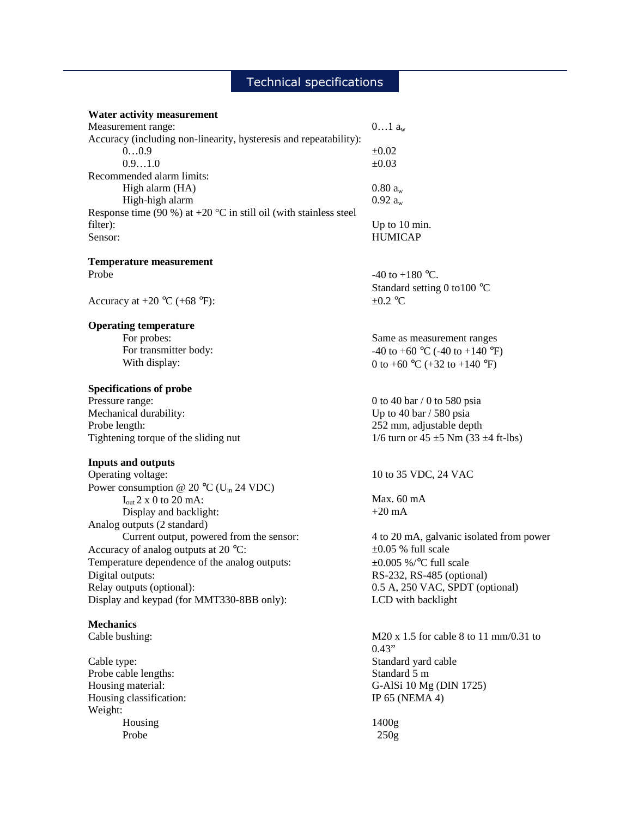### Technical specifications

#### **Water activity measurement**

| Measurement range:                                                          | $01$ $a_w$     |
|-----------------------------------------------------------------------------|----------------|
| Accuracy (including non-linearity, hysteresis and repeatability):           |                |
| 00.9                                                                        | $\pm 0.02$     |
| 0.91.0                                                                      | $\pm 0.03$     |
| Recommended alarm limits:                                                   |                |
| High alarm (HA)                                                             | $0.80 a_{w}$   |
| High-high alarm                                                             | $0.92 a_w$     |
| Response time (90 %) at +20 $^{\circ}$ C in still oil (with stainless steel |                |
| filter):                                                                    | Up to 10 min.  |
| Sensor:                                                                     | <b>HUMICAP</b> |

**Temperature measurement**  Probe  $-40$  to  $+180$  °C.

Accuracy at  $+20 \text{ °C } (+68 \text{ °F})$ :  $\pm 0.2 \text{ °C}$ 

#### **Operating temperature**

 For probes: For transmitter body: With display:

#### **Specifications of probe**

Mechanical durability: Up to 40 bar / 580 psia Probe length: 252 mm, adjustable depth Tightening torque of the sliding nut  $1/6$  turn or  $45 \pm 5$  Nm (33  $\pm 4$  ft-lbs)

#### **Inputs and outputs**

Operating voltage: 10 to 35 VDC, 24 VAC Power consumption @ 20  $^{\circ}$ C (U<sub>in</sub> 24 VDC)  $I<sub>out</sub> 2 x 0 to 20 mA$ : Display and backlight: Analog outputs (2 standard) Current output, powered from the sensor: 4 to 20 mA, galvanic isolated from power Accuracy of analog outputs at 20  $^{\circ}$ C:  $\pm 0.05$  % full scale Temperature dependence of the analog outputs:  $\pm 0.005\%$  /°C full scale Digital outputs: RS-232, RS-485 (optional) Relay outputs (optional): 0.5 A, 250 VAC, SPDT (optional) Display and keypad (for MMT330-8BB only): LCD with backlight

#### **Mechanics**

Probe cable lengths: Standard 5 m Housing classification: IP 65 (NEMA 4) Weight: Housing Probe

Standard setting 0 to100 °C

Same as measurement ranges -40 to +60  $^{\circ}$ C (-40 to +140  $^{\circ}$ F) 0 to +60  $^{\circ}$ C (+32 to +140  $^{\circ}$ F)

Pressure range: 0 to 40 bar / 0 to 580 psia

Max. 60 mA +20 mA

Cable bushing: M20 x 1.5 for cable 8 to 11 mm/0.31 to 0.43" Cable type: Standard yard cable Housing material: G-AlSi 10 Mg (DIN 1725)

> 1400g 250g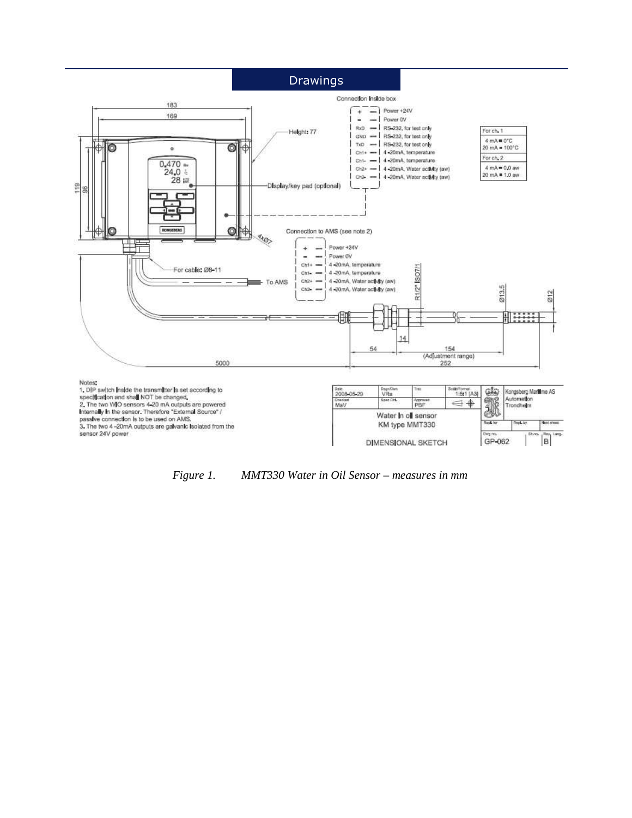## **Drawings**